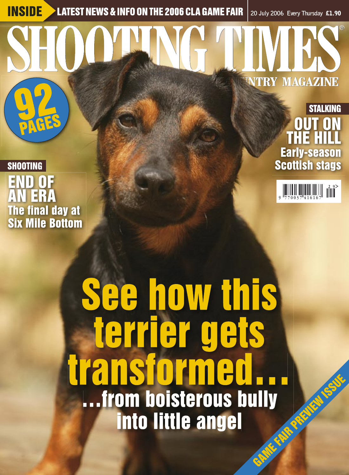INSIDE LATEST NEWS & INFO ON THE 2006 CLA GAME FAIR **20 July 2006 Every Thursday** £1.90

92 PAGES **@COUNTRY MAGAZINE** EXTREME WAS A INFO ON THE 2006 CLA GAME FAIR | 20 July 2006 Every Thursday & <br>
TRY MAGAZIN<br>
THE HILL OUT O<br>
THE HILL Early-seas<br>
Scottish sta 2

**SHOOTING** END OF END OF ER The final day at The final day Six Mile Bottom AN **SHOOTING<br>SHOOTING<br>END O<br>AN ER<br>Six Mile**<br>Six Mile



9 7 7 0 0 3 7 4 1 6 1 6 7 2 9

### See how this See how this terrier gets terrier gets transformed… …from boisterous bully …from boisterous into little angel **EXECUTED MANUSCRIPS CONTROL**<br>
EXECUTS SCOTLING EXECUTS SCOTLING<br> **CONTROL CONTROL**<br> **CONTROL CONTROL**<br> **CONTROL CONTROL**<br> **CONTROL CONTROL**<br> **CONTROL CONTROL**<br> **CONTROL CONTROL**<br> **CONTROL CONTROL**<br> **CONTROL CONTROL CONTRO** GAME FAIR PREVIEW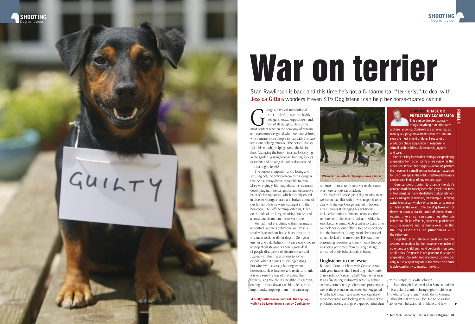eorge is a typical 18-month-old<br>
terrier — playful, assertive, highly<br>
intelligent, social, soppy, bossy and,<br>
most content when in the company of humans<br>
in the company of humans terrier — playful, assertive, highly intelligent, social, soppy, bossy and, most of all, naughty. He is at his and even more delighted when we have visitors, which means more people to play with. His days are spent helping muck-out the horses' stables (with his mouth), helping sweep the kitchen floor (clamping the broom in a jaw-lock), lying in the garden, playing football, hunting for rats or rabbits and bossing the other dogs around — it's a dog's life, eh?

The perfect companion and a loving and amusing pet, the only problem with George is that he has always been impossible to train. More worryingly, his naughtiness has escalated, developing into the dangerous and destructive habit of chasing horses, which recently ended in disaster. George chased and barked at one of our horses while we were loading it into the horsebox; it fell off the ramp, catching its leg on the side of the lorry, requiring stitches and a considerable amount of recovery time.

Stan Rawlinson is back and this time he's got a fundamental "terrierist" to deal with. **Jessica Gittins** wonders if even ST's Doglistener can help her horse-fixated canine

> about such behavioural problems and how to Even though I believed what Stan had said in his articles, I admit to being slightly dubious as to what a "dog listener" could do for George. I thought it all very well for Stan to be writing

### **STAN ON: CHASE OR** PREDATORY AGGRESSION

out into the road to be run over or the cause of a more serious car accident.

Our lack of knowledge of dog training meant we weren't familiar with how to respond to or deal with the way George reacted to horses. Our attempts at changing his behaviour included shouting at him and using another remote-controlled electric collar, to which he soon became immune. As a last resort, any time we took horses out of the stable or loaded one into the horsebox, George would be scooped up and locked in somewhere. This was timeconsuming, however, and only meant George was being prevented from causing damage, not cured of his behavioural problem.

### Doglistener to the rescue

Because of our problems with George, it was with great interest that I read dog behaviourist Stan Rawlinson's recent *Doglistener* series in *ST*. It was fascinating to discover what lay behind so many common dog behavioural problems, as well as the preventions and cures Stan suggested. What he had to say made sense, was logical and more concerned with looking at the source of the problems, looking at dogs as a species, rather than

We had tried everything within our means to control George's behaviour. We live in a small village and our house faces directly on to a main road, so all our dogs — George, a lurcher and a dachshund — wear electric collars to stop them straying. I know a great deal of people disapprove of electric collars and I agree with their reservations to some extent. When it comes to reining-in dogs hot-wired with a strong hunting instinct, however, such as lurchers and terriers, I think it is one sure-fire way of preventing them  $\frac{4}{5}$  from causing trouble in a neighbour's garden, ending up stuck down a rabbit hole or, most  $\tilde{a}$  importantly, stopping them from careering P. QUAGLIANA

# War on terrier

 Guilty until proven innocent: the top dog waits to be taken down a peg by Doglistener

**This can be directed at many things, anything that stimulates a chase response. Squirrels are a favourite, as their quick jerky movements seem to stimulate even the most placid of dogs. I see a lot of predatory chase aggression in response to stimuli such as bikes, skateboards, joggers and cars.** 

**One of the key factors that distinguishes predatory aggression from other forms of aggression is that movement is often the trigger — recalling perhaps the movement a small animal makes as it attempts to run or escape in the wild. Predatory behaviour can be seen in dogs of any sex and age.**

**Counter-conditioning to change the dog's**  perception of the falsely identified prey is one form **of treatment, as many also believe that punishment works, using noise aversion, for example. Throwing water from a car window or sounding an alarm or air horn at the exact time the dog takes off, or throwing down a plastic bottle of stones from a passing bike or car can sometimes alter this behaviour. To be effective, however, punishment must be aversive and its timing exact, so that the dog associates the punishment with the behaviour.** 

**Dogs that show intense interest and become aroused or anxious by the movement or noise of other pets or children should be closely monitored at all times. Prognosis is not good for this type of aggression. Reward-based obedience training can help, but is only of any use if the owner or trainer is able constantly to monitor the dog.**

with a simple, quick-fix solution.



PANEL 1







# $GUTY$